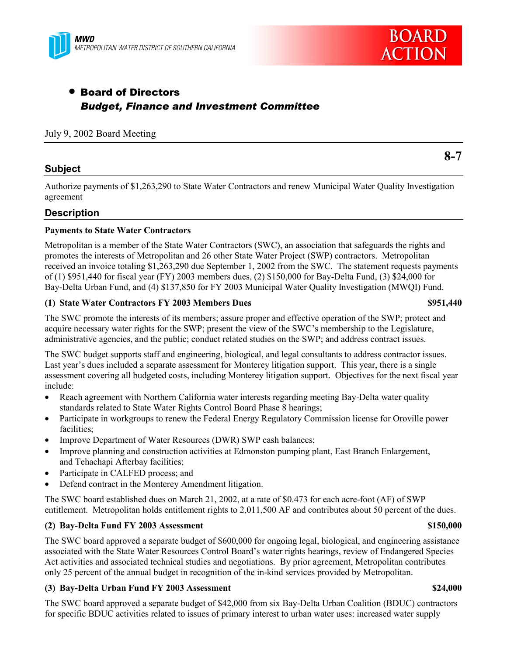



# • Board of Directors *Budget, Finance and Investment Committee*

## July 9, 2002 Board Meeting

# **Subject**

Authorize payments of \$1,263,290 to State Water Contractors and renew Municipal Water Quality Investigation agreement

# **Description**

### **Payments to State Water Contractors**

Metropolitan is a member of the State Water Contractors (SWC), an association that safeguards the rights and promotes the interests of Metropolitan and 26 other State Water Project (SWP) contractors. Metropolitan received an invoice totaling \$1,263,290 due September 1, 2002 from the SWC. The statement requests payments of (1) \$951,440 for fiscal year (FY) 2003 members dues, (2) \$150,000 for Bay-Delta Fund, (3) \$24,000 for Bay-Delta Urban Fund, and (4) \$137,850 for FY 2003 Municipal Water Quality Investigation (MWQI) Fund.

### **(1) State Water Contractors FY 2003 Members Dues \$951,440**

The SWC promote the interests of its members; assure proper and effective operation of the SWP; protect and acquire necessary water rights for the SWP; present the view of the SWC's membership to the Legislature, administrative agencies, and the public; conduct related studies on the SWP; and address contract issues.

The SWC budget supports staff and engineering, biological, and legal consultants to address contractor issues. Last year's dues included a separate assessment for Monterey litigation support. This year, there is a single assessment covering all budgeted costs, including Monterey litigation support. Objectives for the next fiscal year include:

- Reach agreement with Northern California water interests regarding meeting Bay-Delta water quality standards related to State Water Rights Control Board Phase 8 hearings;
- Participate in workgroups to renew the Federal Energy Regulatory Commission license for Oroville power facilities;
- Improve Department of Water Resources (DWR) SWP cash balances;
- Improve planning and construction activities at Edmonston pumping plant, East Branch Enlargement, and Tehachapi Afterbay facilities;
- Participate in CALFED process; and
- Defend contract in the Monterey Amendment litigation.

The SWC board established dues on March 21, 2002, at a rate of \$0.473 for each acre-foot (AF) of SWP entitlement. Metropolitan holds entitlement rights to 2,011,500 AF and contributes about 50 percent of the dues.

### **(2) Bay-Delta Fund FY 2003 Assessment \$150,000**

The SWC board approved a separate budget of \$600,000 for ongoing legal, biological, and engineering assistance associated with the State Water Resources Control Board's water rights hearings, review of Endangered Species Act activities and associated technical studies and negotiations. By prior agreement, Metropolitan contributes only 25 percent of the annual budget in recognition of the in-kind services provided by Metropolitan.

### **(3) Bay-Delta Urban Fund FY 2003 Assessment \$24,000**

The SWC board approved a separate budget of \$42,000 from six Bay-Delta Urban Coalition (BDUC) contractors for specific BDUC activities related to issues of primary interest to urban water uses: increased water supply

**8-7**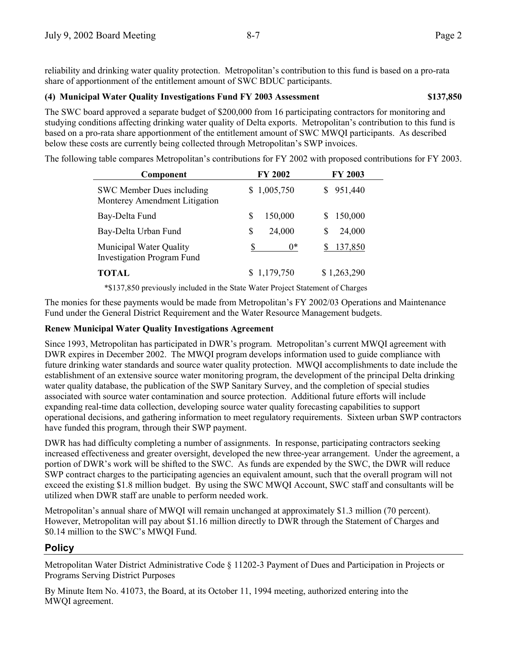reliability and drinking water quality protection. Metropolitanís contribution to this fund is based on a pro-rata share of apportionment of the entitlement amount of SWC BDUC participants.

## **(4) Municipal Water Quality Investigations Fund FY 2003 Assessment \$137,850**

The SWC board approved a separate budget of \$200,000 from 16 participating contractors for monitoring and studying conditions affecting drinking water quality of Delta exports. Metropolitan's contribution to this fund is based on a pro-rata share apportionment of the entitlement amount of SWC MWQI participants. As described below these costs are currently being collected through Metropolitan's SWP invoices.

The following table compares Metropolitan's contributions for FY 2002 with proposed contributions for FY 2003.

| Component                                                    | <b>FY 2002</b>  | <b>FY 2003</b> |
|--------------------------------------------------------------|-----------------|----------------|
| SWC Member Dues including<br>Monterey Amendment Litigation   | 1,005,750<br>S. | 951,440        |
| Bay-Delta Fund                                               | 150,000<br>S    | 150,000<br>S.  |
| Bay-Delta Urban Fund                                         | \$<br>24,000    | 24,000<br>S    |
| Municipal Water Quality<br><b>Investigation Program Fund</b> | $0^*$           | 137,850        |
| TOTAL                                                        | 1,179,750       | \$1,263,290    |

\*\$137,850 previously included in the State Water Project Statement of Charges

The monies for these payments would be made from Metropolitan's FY 2002/03 Operations and Maintenance Fund under the General District Requirement and the Water Resource Management budgets.

# **Renew Municipal Water Quality Investigations Agreement**

Since 1993, Metropolitan has participated in DWR's program. Metropolitan's current MWOI agreement with DWR expires in December 2002. The MWQI program develops information used to guide compliance with future drinking water standards and source water quality protection. MWQI accomplishments to date include the establishment of an extensive source water monitoring program, the development of the principal Delta drinking water quality database, the publication of the SWP Sanitary Survey, and the completion of special studies associated with source water contamination and source protection. Additional future efforts will include expanding real-time data collection, developing source water quality forecasting capabilities to support operational decisions, and gathering information to meet regulatory requirements. Sixteen urban SWP contractors have funded this program, through their SWP payment.

DWR has had difficulty completing a number of assignments. In response, participating contractors seeking increased effectiveness and greater oversight, developed the new three-year arrangement. Under the agreement, a portion of DWR's work will be shifted to the SWC. As funds are expended by the SWC, the DWR will reduce SWP contract charges to the participating agencies an equivalent amount, such that the overall program will not exceed the existing \$1.8 million budget. By using the SWC MWQI Account, SWC staff and consultants will be utilized when DWR staff are unable to perform needed work.

Metropolitanís annual share of MWQI will remain unchanged at approximately \$1.3 million (70 percent). However, Metropolitan will pay about \$1.16 million directly to DWR through the Statement of Charges and \$0.14 million to the SWC's MWQI Fund.

# **Policy**

Metropolitan Water District Administrative Code ß 11202-3 Payment of Dues and Participation in Projects or Programs Serving District Purposes

By Minute Item No. 41073, the Board, at its October 11, 1994 meeting, authorized entering into the MWQI agreement.